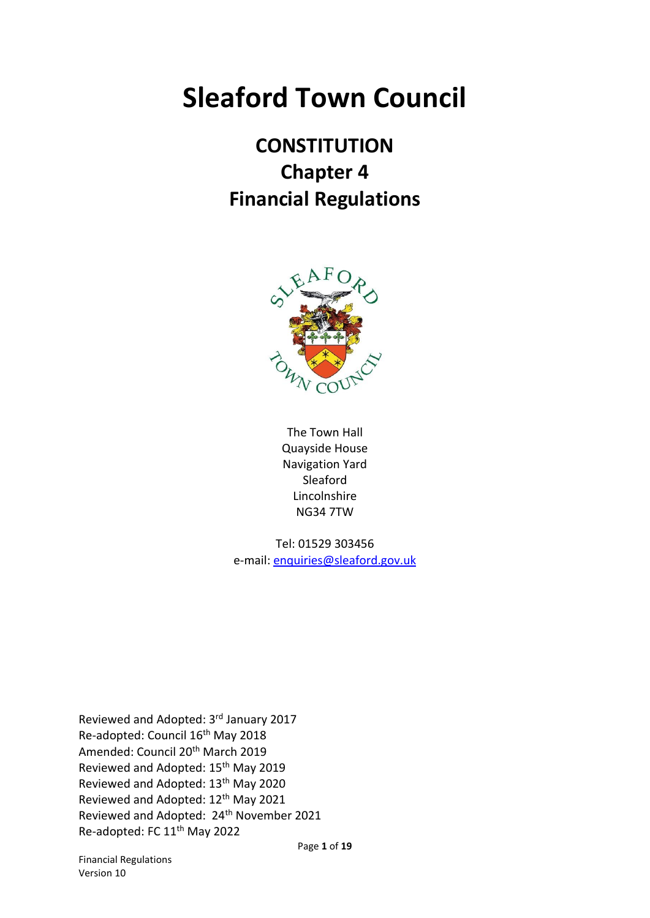# **Sleaford Town Council**

# **CONSTITUTION Chapter 4 Financial Regulations**



The Town Hall Quayside House Navigation Yard Sleaford Lincolnshire NG34 7TW

Tel: 01529 303456 e-mail: [enquiries@sleaford.gov.uk](mailto:enquiries@sleaford.gov.uk)

Reviewed and Adopted: 3rd January 2017 Re-adopted: Council 16th May 2018 Amended: Council 20th March 2019 Reviewed and Adopted: 15th May 2019 Reviewed and Adopted: 13th May 2020 Reviewed and Adopted: 12th May 2021 Reviewed and Adopted: 24<sup>th</sup> November 2021 Re-adopted: FC 11<sup>th</sup> May 2022

Financial Regulations Version 10

Page **1** of **19**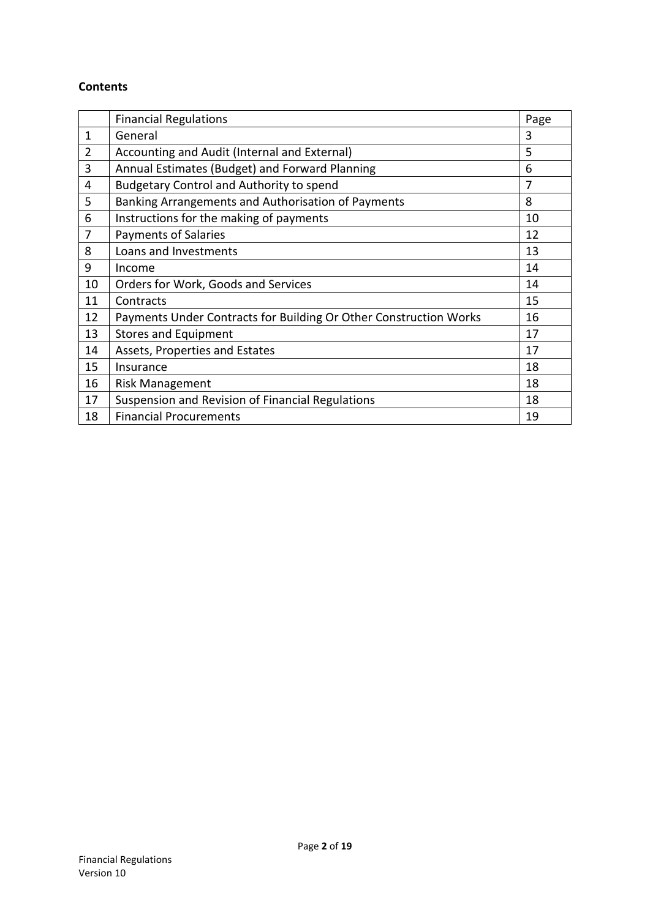#### **Contents**

|                | <b>Financial Regulations</b>                                      | Page           |
|----------------|-------------------------------------------------------------------|----------------|
| 1              | General                                                           | 3              |
| $\overline{2}$ | Accounting and Audit (Internal and External)                      | 5              |
| 3              | Annual Estimates (Budget) and Forward Planning                    | 6              |
| 4              | <b>Budgetary Control and Authority to spend</b>                   | $\overline{7}$ |
| 5              | Banking Arrangements and Authorisation of Payments                | 8              |
| 6              | Instructions for the making of payments                           | 10             |
| $\overline{7}$ | <b>Payments of Salaries</b>                                       | 12             |
| 8              | Loans and Investments                                             | 13             |
| 9              | Income                                                            | 14             |
| 10             | Orders for Work, Goods and Services                               | 14             |
| 11             | Contracts                                                         | 15             |
| 12             | Payments Under Contracts for Building Or Other Construction Works | 16             |
| 13             | <b>Stores and Equipment</b>                                       | 17             |
| 14             | Assets, Properties and Estates                                    | 17             |
| 15             | Insurance                                                         | 18             |
| 16             | <b>Risk Management</b>                                            | 18             |
| 17             | Suspension and Revision of Financial Regulations                  | 18             |
| 18             | <b>Financial Procurements</b>                                     | 19             |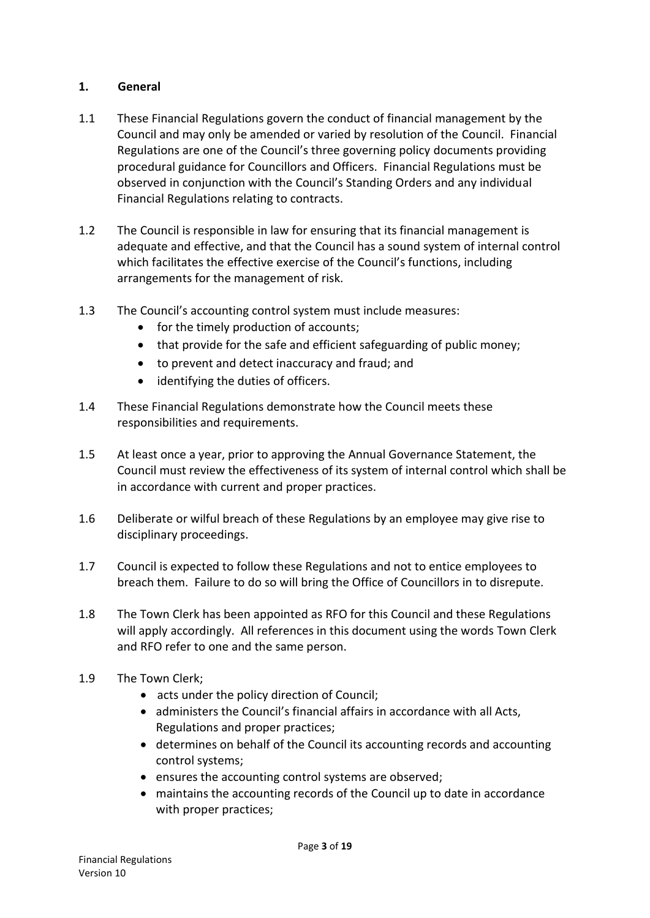### **1. General**

- 1.1 These Financial Regulations govern the conduct of financial management by the Council and may only be amended or varied by resolution of the Council. Financial Regulations are one of the Council's three governing policy documents providing procedural guidance for Councillors and Officers. Financial Regulations must be observed in conjunction with the Council's Standing Orders and any individual Financial Regulations relating to contracts.
- 1.2 The Council is responsible in law for ensuring that its financial management is adequate and effective, and that the Council has a sound system of internal control which facilitates the effective exercise of the Council's functions, including arrangements for the management of risk.
- 1.3 The Council's accounting control system must include measures:
	- for the timely production of accounts;
	- that provide for the safe and efficient safeguarding of public money;
	- to prevent and detect inaccuracy and fraud; and
	- identifying the duties of officers.
- 1.4 These Financial Regulations demonstrate how the Council meets these responsibilities and requirements.
- 1.5 At least once a year, prior to approving the Annual Governance Statement, the Council must review the effectiveness of its system of internal control which shall be in accordance with current and proper practices.
- 1.6 Deliberate or wilful breach of these Regulations by an employee may give rise to disciplinary proceedings.
- 1.7 Council is expected to follow these Regulations and not to entice employees to breach them. Failure to do so will bring the Office of Councillors in to disrepute.
- 1.8 The Town Clerk has been appointed as RFO for this Council and these Regulations will apply accordingly. All references in this document using the words Town Clerk and RFO refer to one and the same person.
- 1.9 The Town Clerk;
	- acts under the policy direction of Council;
	- administers the Council's financial affairs in accordance with all Acts, Regulations and proper practices;
	- determines on behalf of the Council its accounting records and accounting control systems;
	- ensures the accounting control systems are observed;
	- maintains the accounting records of the Council up to date in accordance with proper practices;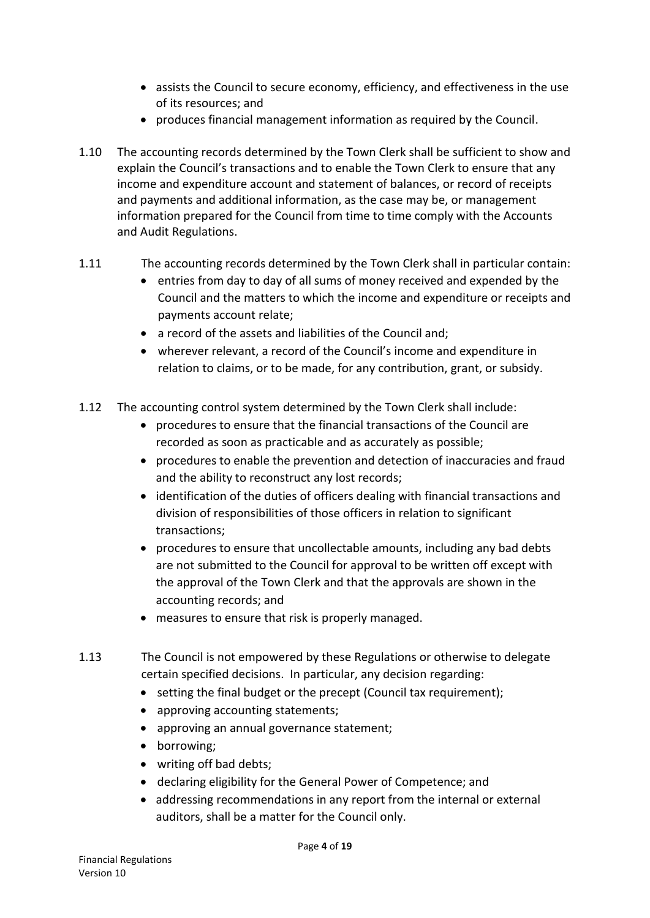- assists the Council to secure economy, efficiency, and effectiveness in the use of its resources; and
- produces financial management information as required by the Council.
- 1.10 The accounting records determined by the Town Clerk shall be sufficient to show and explain the Council's transactions and to enable the Town Clerk to ensure that any income and expenditure account and statement of balances, or record of receipts and payments and additional information, as the case may be, or management information prepared for the Council from time to time comply with the Accounts and Audit Regulations.
- 1.11 The accounting records determined by the Town Clerk shall in particular contain:
	- entries from day to day of all sums of money received and expended by the Council and the matters to which the income and expenditure or receipts and payments account relate;
	- a record of the assets and liabilities of the Council and;
	- wherever relevant, a record of the Council's income and expenditure in relation to claims, or to be made, for any contribution, grant, or subsidy.
- 1.12 The accounting control system determined by the Town Clerk shall include:
	- procedures to ensure that the financial transactions of the Council are recorded as soon as practicable and as accurately as possible;
	- procedures to enable the prevention and detection of inaccuracies and fraud and the ability to reconstruct any lost records;
	- identification of the duties of officers dealing with financial transactions and division of responsibilities of those officers in relation to significant transactions;
	- procedures to ensure that uncollectable amounts, including any bad debts are not submitted to the Council for approval to be written off except with the approval of the Town Clerk and that the approvals are shown in the accounting records; and
	- measures to ensure that risk is properly managed.
- 1.13 The Council is not empowered by these Regulations or otherwise to delegate certain specified decisions. In particular, any decision regarding:
	- setting the final budget or the precept (Council tax requirement);
	- approving accounting statements;
	- approving an annual governance statement;
	- borrowing;
	- writing off bad debts;
	- declaring eligibility for the General Power of Competence; and
	- addressing recommendations in any report from the internal or external auditors, shall be a matter for the Council only.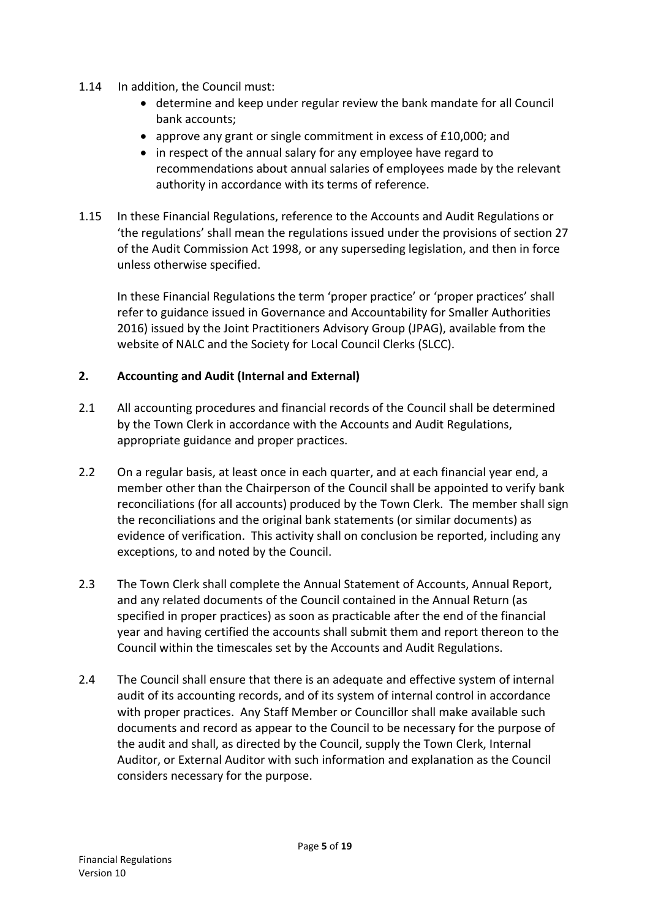- 1.14 In addition, the Council must:
	- determine and keep under regular review the bank mandate for all Council bank accounts;
	- approve any grant or single commitment in excess of £10,000; and
	- in respect of the annual salary for any employee have regard to recommendations about annual salaries of employees made by the relevant authority in accordance with its terms of reference.
- 1.15 In these Financial Regulations, reference to the Accounts and Audit Regulations or 'the regulations' shall mean the regulations issued under the provisions of section 27 of the Audit Commission Act 1998, or any superseding legislation, and then in force unless otherwise specified.

In these Financial Regulations the term 'proper practice' or 'proper practices' shall refer to guidance issued in Governance and Accountability for Smaller Authorities 2016) issued by the Joint Practitioners Advisory Group (JPAG), available from the website of NALC and the Society for Local Council Clerks (SLCC).

#### **2. Accounting and Audit (Internal and External)**

- 2.1 All accounting procedures and financial records of the Council shall be determined by the Town Clerk in accordance with the Accounts and Audit Regulations, appropriate guidance and proper practices.
- 2.2 On a regular basis, at least once in each quarter, and at each financial year end, a member other than the Chairperson of the Council shall be appointed to verify bank reconciliations (for all accounts) produced by the Town Clerk. The member shall sign the reconciliations and the original bank statements (or similar documents) as evidence of verification. This activity shall on conclusion be reported, including any exceptions, to and noted by the Council.
- 2.3 The Town Clerk shall complete the Annual Statement of Accounts, Annual Report, and any related documents of the Council contained in the Annual Return (as specified in proper practices) as soon as practicable after the end of the financial year and having certified the accounts shall submit them and report thereon to the Council within the timescales set by the Accounts and Audit Regulations.
- 2.4 The Council shall ensure that there is an adequate and effective system of internal audit of its accounting records, and of its system of internal control in accordance with proper practices. Any Staff Member or Councillor shall make available such documents and record as appear to the Council to be necessary for the purpose of the audit and shall, as directed by the Council, supply the Town Clerk, Internal Auditor, or External Auditor with such information and explanation as the Council considers necessary for the purpose.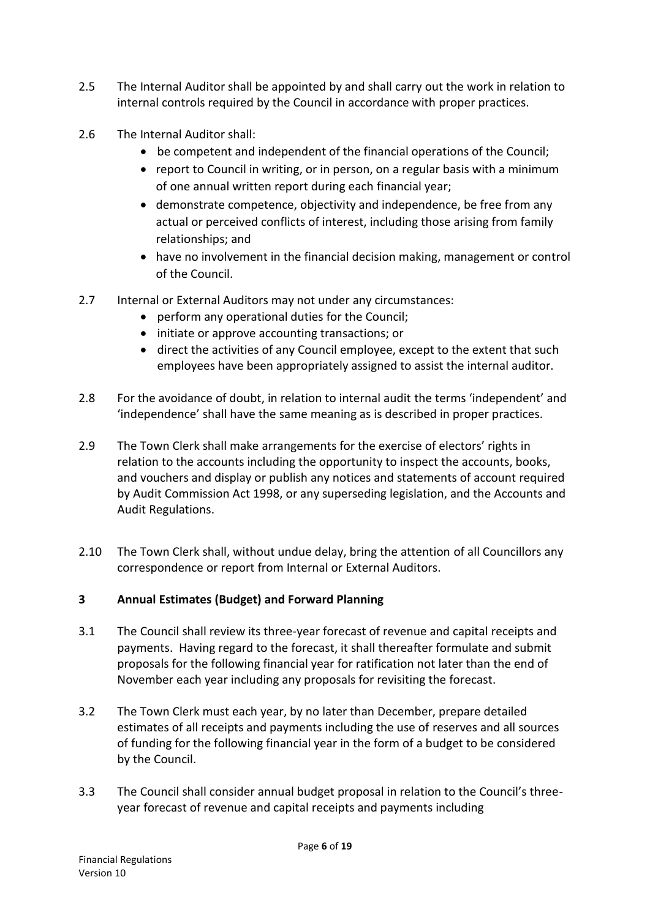- 2.5 The Internal Auditor shall be appointed by and shall carry out the work in relation to internal controls required by the Council in accordance with proper practices.
- 2.6 The Internal Auditor shall:
	- be competent and independent of the financial operations of the Council;
	- report to Council in writing, or in person, on a regular basis with a minimum of one annual written report during each financial year;
	- demonstrate competence, objectivity and independence, be free from any actual or perceived conflicts of interest, including those arising from family relationships; and
	- have no involvement in the financial decision making, management or control of the Council.
- 2.7 Internal or External Auditors may not under any circumstances:
	- perform any operational duties for the Council;
	- initiate or approve accounting transactions; or
	- direct the activities of any Council employee, except to the extent that such employees have been appropriately assigned to assist the internal auditor.
- 2.8 For the avoidance of doubt, in relation to internal audit the terms 'independent' and 'independence' shall have the same meaning as is described in proper practices.
- 2.9 The Town Clerk shall make arrangements for the exercise of electors' rights in relation to the accounts including the opportunity to inspect the accounts, books, and vouchers and display or publish any notices and statements of account required by Audit Commission Act 1998, or any superseding legislation, and the Accounts and Audit Regulations.
- 2.10 The Town Clerk shall, without undue delay, bring the attention of all Councillors any correspondence or report from Internal or External Auditors.

#### **3 Annual Estimates (Budget) and Forward Planning**

- 3.1 The Council shall review its three-year forecast of revenue and capital receipts and payments. Having regard to the forecast, it shall thereafter formulate and submit proposals for the following financial year for ratification not later than the end of November each year including any proposals for revisiting the forecast.
- 3.2 The Town Clerk must each year, by no later than December, prepare detailed estimates of all receipts and payments including the use of reserves and all sources of funding for the following financial year in the form of a budget to be considered by the Council.
- 3.3 The Council shall consider annual budget proposal in relation to the Council's threeyear forecast of revenue and capital receipts and payments including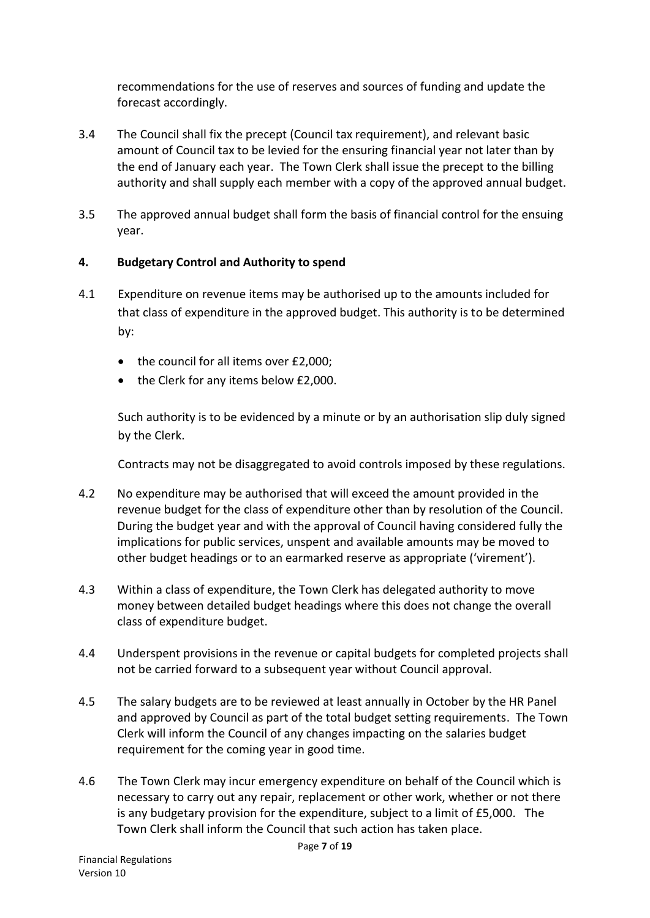recommendations for the use of reserves and sources of funding and update the forecast accordingly.

- 3.4 The Council shall fix the precept (Council tax requirement), and relevant basic amount of Council tax to be levied for the ensuring financial year not later than by the end of January each year. The Town Clerk shall issue the precept to the billing authority and shall supply each member with a copy of the approved annual budget.
- 3.5 The approved annual budget shall form the basis of financial control for the ensuing year.

### **4. Budgetary Control and Authority to spend**

- 4.1 Expenditure on revenue items may be authorised up to the amounts included for that class of expenditure in the approved budget. This authority is to be determined by:
	- the council for all items over £2,000;
	- the Clerk for any items below £2,000.

Such authority is to be evidenced by a minute or by an authorisation slip duly signed by the Clerk.

Contracts may not be disaggregated to avoid controls imposed by these regulations.

- 4.2 No expenditure may be authorised that will exceed the amount provided in the revenue budget for the class of expenditure other than by resolution of the Council. During the budget year and with the approval of Council having considered fully the implications for public services, unspent and available amounts may be moved to other budget headings or to an earmarked reserve as appropriate ('virement').
- 4.3 Within a class of expenditure, the Town Clerk has delegated authority to move money between detailed budget headings where this does not change the overall class of expenditure budget.
- 4.4 Underspent provisions in the revenue or capital budgets for completed projects shall not be carried forward to a subsequent year without Council approval.
- 4.5 The salary budgets are to be reviewed at least annually in October by the HR Panel and approved by Council as part of the total budget setting requirements. The Town Clerk will inform the Council of any changes impacting on the salaries budget requirement for the coming year in good time.
- 4.6 The Town Clerk may incur emergency expenditure on behalf of the Council which is necessary to carry out any repair, replacement or other work, whether or not there is any budgetary provision for the expenditure, subject to a limit of £5,000. The Town Clerk shall inform the Council that such action has taken place.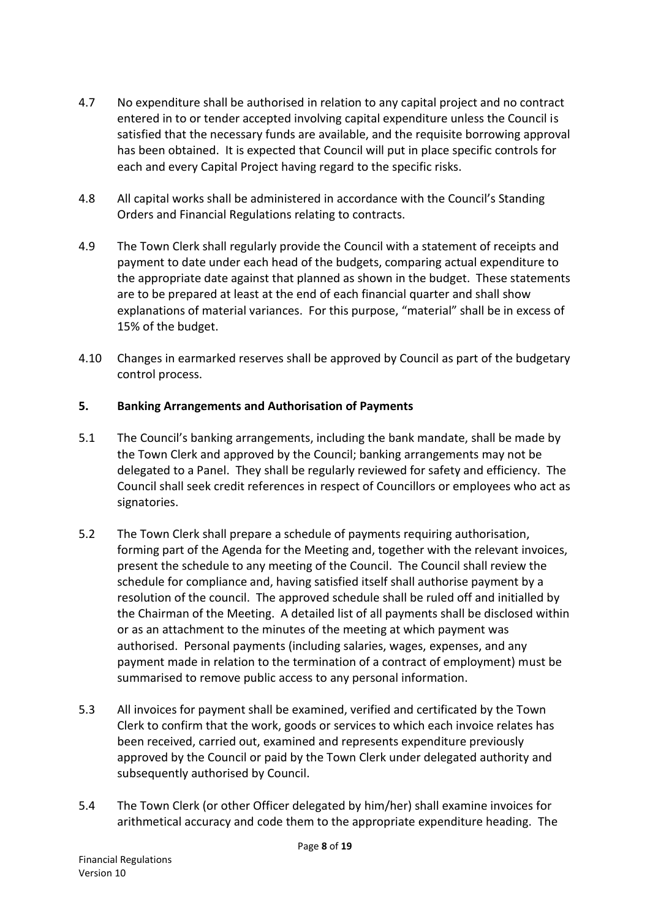- 4.7 No expenditure shall be authorised in relation to any capital project and no contract entered in to or tender accepted involving capital expenditure unless the Council is satisfied that the necessary funds are available, and the requisite borrowing approval has been obtained. It is expected that Council will put in place specific controls for each and every Capital Project having regard to the specific risks.
- 4.8 All capital works shall be administered in accordance with the Council's Standing Orders and Financial Regulations relating to contracts.
- 4.9 The Town Clerk shall regularly provide the Council with a statement of receipts and payment to date under each head of the budgets, comparing actual expenditure to the appropriate date against that planned as shown in the budget. These statements are to be prepared at least at the end of each financial quarter and shall show explanations of material variances. For this purpose, "material" shall be in excess of 15% of the budget.
- 4.10 Changes in earmarked reserves shall be approved by Council as part of the budgetary control process.

#### **5. Banking Arrangements and Authorisation of Payments**

- 5.1 The Council's banking arrangements, including the bank mandate, shall be made by the Town Clerk and approved by the Council; banking arrangements may not be delegated to a Panel. They shall be regularly reviewed for safety and efficiency. The Council shall seek credit references in respect of Councillors or employees who act as signatories.
- 5.2 The Town Clerk shall prepare a schedule of payments requiring authorisation, forming part of the Agenda for the Meeting and, together with the relevant invoices, present the schedule to any meeting of the Council. The Council shall review the schedule for compliance and, having satisfied itself shall authorise payment by a resolution of the council. The approved schedule shall be ruled off and initialled by the Chairman of the Meeting. A detailed list of all payments shall be disclosed within or as an attachment to the minutes of the meeting at which payment was authorised. Personal payments (including salaries, wages, expenses, and any payment made in relation to the termination of a contract of employment) must be summarised to remove public access to any personal information.
- 5.3 All invoices for payment shall be examined, verified and certificated by the Town Clerk to confirm that the work, goods or services to which each invoice relates has been received, carried out, examined and represents expenditure previously approved by the Council or paid by the Town Clerk under delegated authority and subsequently authorised by Council.
- 5.4 The Town Clerk (or other Officer delegated by him/her) shall examine invoices for arithmetical accuracy and code them to the appropriate expenditure heading. The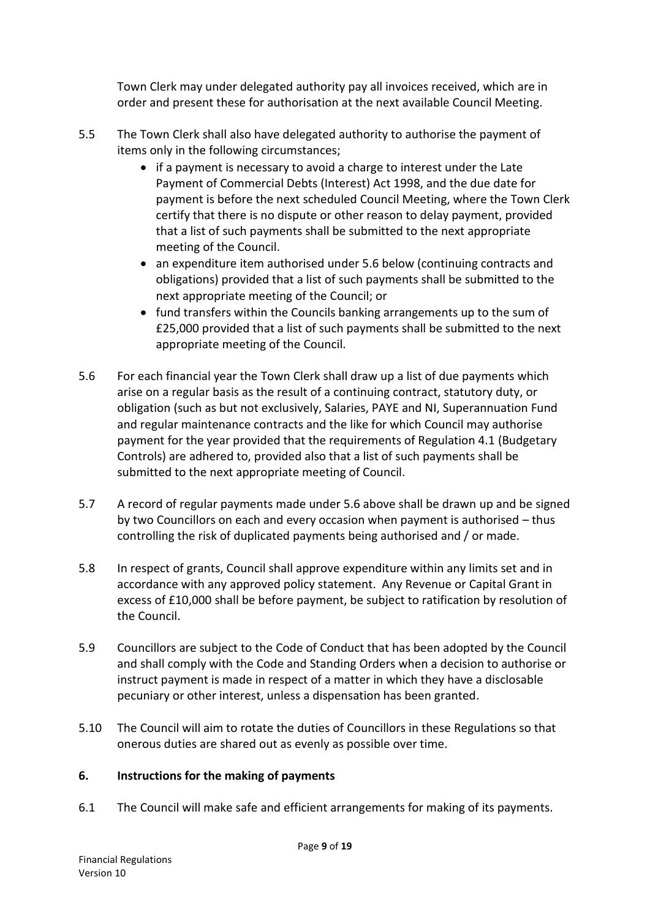Town Clerk may under delegated authority pay all invoices received, which are in order and present these for authorisation at the next available Council Meeting.

- 5.5 The Town Clerk shall also have delegated authority to authorise the payment of items only in the following circumstances;
	- if a payment is necessary to avoid a charge to interest under the Late Payment of Commercial Debts (Interest) Act 1998, and the due date for payment is before the next scheduled Council Meeting, where the Town Clerk certify that there is no dispute or other reason to delay payment, provided that a list of such payments shall be submitted to the next appropriate meeting of the Council.
	- an expenditure item authorised under 5.6 below (continuing contracts and obligations) provided that a list of such payments shall be submitted to the next appropriate meeting of the Council; or
	- fund transfers within the Councils banking arrangements up to the sum of £25,000 provided that a list of such payments shall be submitted to the next appropriate meeting of the Council.
- 5.6 For each financial year the Town Clerk shall draw up a list of due payments which arise on a regular basis as the result of a continuing contract, statutory duty, or obligation (such as but not exclusively, Salaries, PAYE and NI, Superannuation Fund and regular maintenance contracts and the like for which Council may authorise payment for the year provided that the requirements of Regulation 4.1 (Budgetary Controls) are adhered to, provided also that a list of such payments shall be submitted to the next appropriate meeting of Council.
- 5.7 A record of regular payments made under 5.6 above shall be drawn up and be signed by two Councillors on each and every occasion when payment is authorised – thus controlling the risk of duplicated payments being authorised and / or made.
- 5.8 In respect of grants, Council shall approve expenditure within any limits set and in accordance with any approved policy statement. Any Revenue or Capital Grant in excess of £10,000 shall be before payment, be subject to ratification by resolution of the Council.
- 5.9 Councillors are subject to the Code of Conduct that has been adopted by the Council and shall comply with the Code and Standing Orders when a decision to authorise or instruct payment is made in respect of a matter in which they have a disclosable pecuniary or other interest, unless a dispensation has been granted.
- 5.10 The Council will aim to rotate the duties of Councillors in these Regulations so that onerous duties are shared out as evenly as possible over time.

#### **6. Instructions for the making of payments**

6.1 The Council will make safe and efficient arrangements for making of its payments.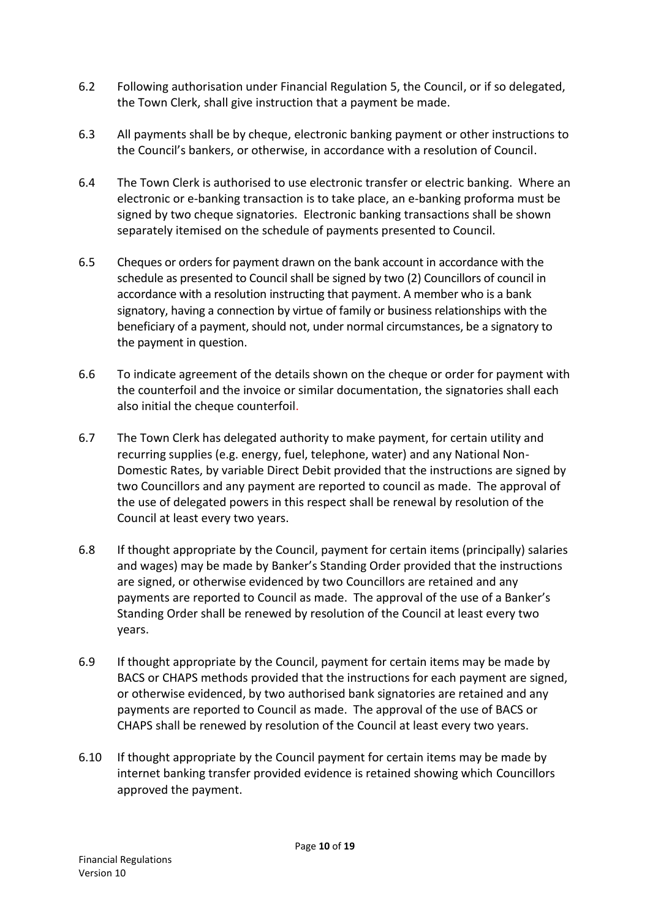- 6.2 Following authorisation under Financial Regulation 5, the Council, or if so delegated, the Town Clerk, shall give instruction that a payment be made.
- 6.3 All payments shall be by cheque, electronic banking payment or other instructions to the Council's bankers, or otherwise, in accordance with a resolution of Council.
- 6.4 The Town Clerk is authorised to use electronic transfer or electric banking. Where an electronic or e-banking transaction is to take place, an e-banking proforma must be signed by two cheque signatories. Electronic banking transactions shall be shown separately itemised on the schedule of payments presented to Council.
- 6.5 Cheques or orders for payment drawn on the bank account in accordance with the schedule as presented to Council shall be signed by two (2) Councillors of council in accordance with a resolution instructing that payment. A member who is a bank signatory, having a connection by virtue of family or business relationships with the beneficiary of a payment, should not, under normal circumstances, be a signatory to the payment in question.
- 6.6 To indicate agreement of the details shown on the cheque or order for payment with the counterfoil and the invoice or similar documentation, the signatories shall each also initial the cheque counterfoil.
- 6.7 The Town Clerk has delegated authority to make payment, for certain utility and recurring supplies (e.g. energy, fuel, telephone, water) and any National Non-Domestic Rates, by variable Direct Debit provided that the instructions are signed by two Councillors and any payment are reported to council as made. The approval of the use of delegated powers in this respect shall be renewal by resolution of the Council at least every two years.
- 6.8 If thought appropriate by the Council, payment for certain items (principally) salaries and wages) may be made by Banker's Standing Order provided that the instructions are signed, or otherwise evidenced by two Councillors are retained and any payments are reported to Council as made. The approval of the use of a Banker's Standing Order shall be renewed by resolution of the Council at least every two years.
- 6.9 If thought appropriate by the Council, payment for certain items may be made by BACS or CHAPS methods provided that the instructions for each payment are signed, or otherwise evidenced, by two authorised bank signatories are retained and any payments are reported to Council as made. The approval of the use of BACS or CHAPS shall be renewed by resolution of the Council at least every two years.
- 6.10 If thought appropriate by the Council payment for certain items may be made by internet banking transfer provided evidence is retained showing which Councillors approved the payment.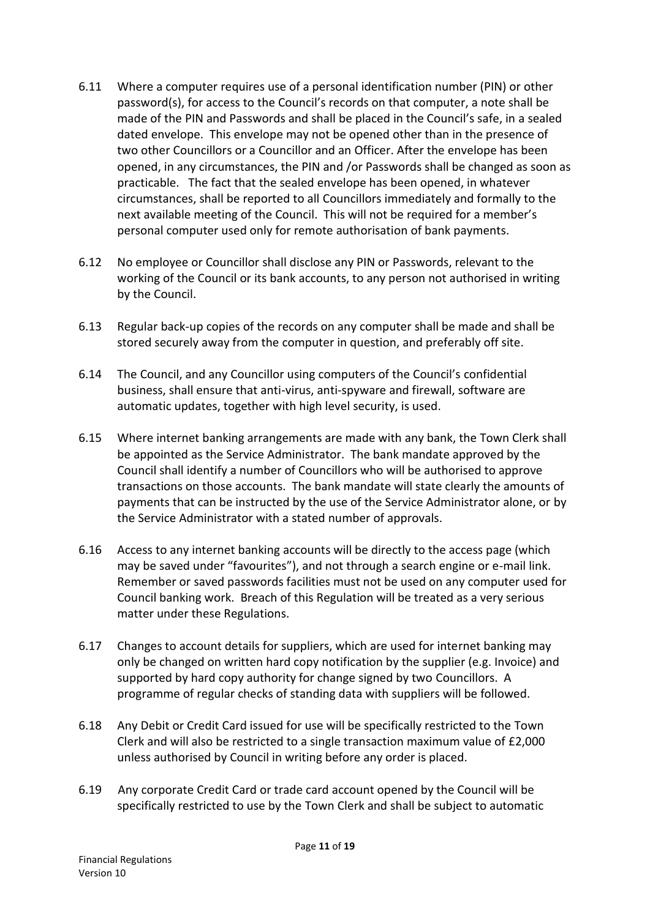- 6.11 Where a computer requires use of a personal identification number (PIN) or other password(s), for access to the Council's records on that computer, a note shall be made of the PIN and Passwords and shall be placed in the Council's safe, in a sealed dated envelope. This envelope may not be opened other than in the presence of two other Councillors or a Councillor and an Officer. After the envelope has been opened, in any circumstances, the PIN and /or Passwords shall be changed as soon as practicable. The fact that the sealed envelope has been opened, in whatever circumstances, shall be reported to all Councillors immediately and formally to the next available meeting of the Council. This will not be required for a member's personal computer used only for remote authorisation of bank payments.
- 6.12 No employee or Councillor shall disclose any PIN or Passwords, relevant to the working of the Council or its bank accounts, to any person not authorised in writing by the Council.
- 6.13 Regular back-up copies of the records on any computer shall be made and shall be stored securely away from the computer in question, and preferably off site.
- 6.14 The Council, and any Councillor using computers of the Council's confidential business, shall ensure that anti-virus, anti-spyware and firewall, software are automatic updates, together with high level security, is used.
- 6.15 Where internet banking arrangements are made with any bank, the Town Clerk shall be appointed as the Service Administrator. The bank mandate approved by the Council shall identify a number of Councillors who will be authorised to approve transactions on those accounts. The bank mandate will state clearly the amounts of payments that can be instructed by the use of the Service Administrator alone, or by the Service Administrator with a stated number of approvals.
- 6.16 Access to any internet banking accounts will be directly to the access page (which may be saved under "favourites"), and not through a search engine or e-mail link. Remember or saved passwords facilities must not be used on any computer used for Council banking work. Breach of this Regulation will be treated as a very serious matter under these Regulations.
- 6.17 Changes to account details for suppliers, which are used for internet banking may only be changed on written hard copy notification by the supplier (e.g. Invoice) and supported by hard copy authority for change signed by two Councillors. A programme of regular checks of standing data with suppliers will be followed.
- 6.18 Any Debit or Credit Card issued for use will be specifically restricted to the Town Clerk and will also be restricted to a single transaction maximum value of £2,000 unless authorised by Council in writing before any order is placed.
- 6.19 Any corporate Credit Card or trade card account opened by the Council will be specifically restricted to use by the Town Clerk and shall be subject to automatic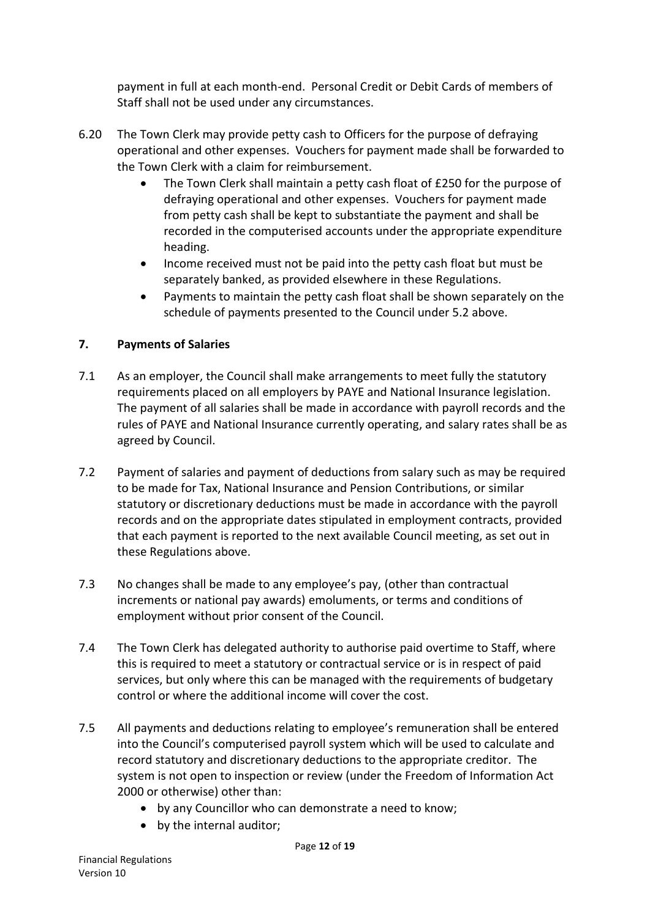payment in full at each month-end. Personal Credit or Debit Cards of members of Staff shall not be used under any circumstances.

- 6.20 The Town Clerk may provide petty cash to Officers for the purpose of defraying operational and other expenses. Vouchers for payment made shall be forwarded to the Town Clerk with a claim for reimbursement.
	- The Town Clerk shall maintain a petty cash float of £250 for the purpose of defraying operational and other expenses. Vouchers for payment made from petty cash shall be kept to substantiate the payment and shall be recorded in the computerised accounts under the appropriate expenditure heading.
	- Income received must not be paid into the petty cash float but must be separately banked, as provided elsewhere in these Regulations.
	- Payments to maintain the petty cash float shall be shown separately on the schedule of payments presented to the Council under 5.2 above.

### **7. Payments of Salaries**

- 7.1 As an employer, the Council shall make arrangements to meet fully the statutory requirements placed on all employers by PAYE and National Insurance legislation. The payment of all salaries shall be made in accordance with payroll records and the rules of PAYE and National Insurance currently operating, and salary rates shall be as agreed by Council.
- 7.2 Payment of salaries and payment of deductions from salary such as may be required to be made for Tax, National Insurance and Pension Contributions, or similar statutory or discretionary deductions must be made in accordance with the payroll records and on the appropriate dates stipulated in employment contracts, provided that each payment is reported to the next available Council meeting, as set out in these Regulations above.
- 7.3 No changes shall be made to any employee's pay, (other than contractual increments or national pay awards) emoluments, or terms and conditions of employment without prior consent of the Council.
- 7.4 The Town Clerk has delegated authority to authorise paid overtime to Staff, where this is required to meet a statutory or contractual service or is in respect of paid services, but only where this can be managed with the requirements of budgetary control or where the additional income will cover the cost.
- 7.5 All payments and deductions relating to employee's remuneration shall be entered into the Council's computerised payroll system which will be used to calculate and record statutory and discretionary deductions to the appropriate creditor. The system is not open to inspection or review (under the Freedom of Information Act 2000 or otherwise) other than:
	- by any Councillor who can demonstrate a need to know;
	- by the internal auditor;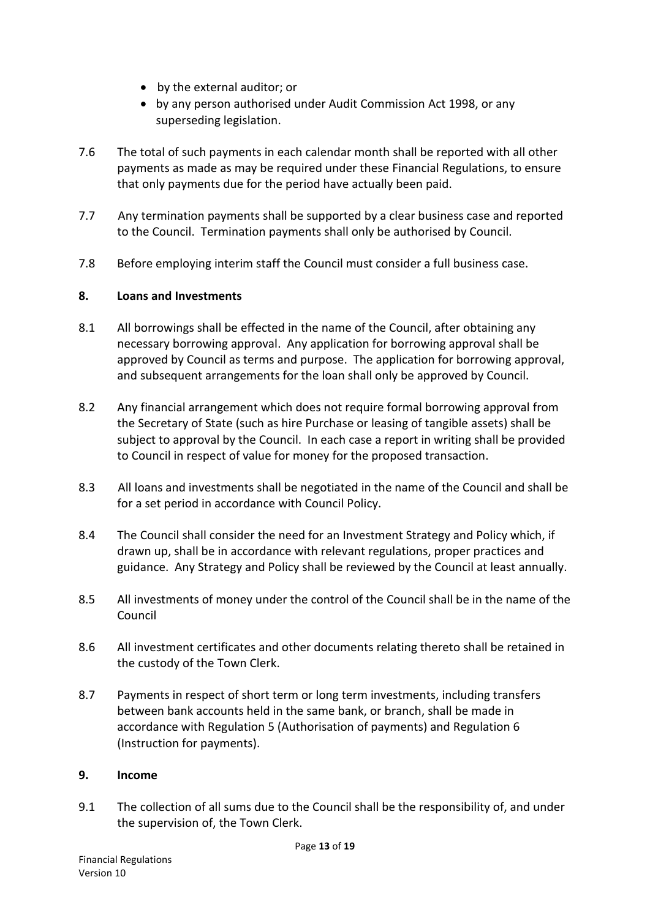- by the external auditor; or
- by any person authorised under Audit Commission Act 1998, or any superseding legislation.
- 7.6 The total of such payments in each calendar month shall be reported with all other payments as made as may be required under these Financial Regulations, to ensure that only payments due for the period have actually been paid.
- 7.7 Any termination payments shall be supported by a clear business case and reported to the Council. Termination payments shall only be authorised by Council.
- 7.8 Before employing interim staff the Council must consider a full business case.

### **8. Loans and Investments**

- 8.1 All borrowings shall be effected in the name of the Council, after obtaining any necessary borrowing approval. Any application for borrowing approval shall be approved by Council as terms and purpose. The application for borrowing approval, and subsequent arrangements for the loan shall only be approved by Council.
- 8.2 Any financial arrangement which does not require formal borrowing approval from the Secretary of State (such as hire Purchase or leasing of tangible assets) shall be subject to approval by the Council. In each case a report in writing shall be provided to Council in respect of value for money for the proposed transaction.
- 8.3 All loans and investments shall be negotiated in the name of the Council and shall be for a set period in accordance with Council Policy.
- 8.4 The Council shall consider the need for an Investment Strategy and Policy which, if drawn up, shall be in accordance with relevant regulations, proper practices and guidance. Any Strategy and Policy shall be reviewed by the Council at least annually.
- 8.5 All investments of money under the control of the Council shall be in the name of the Council
- 8.6 All investment certificates and other documents relating thereto shall be retained in the custody of the Town Clerk.
- 8.7 Payments in respect of short term or long term investments, including transfers between bank accounts held in the same bank, or branch, shall be made in accordance with Regulation 5 (Authorisation of payments) and Regulation 6 (Instruction for payments).

#### **9. Income**

9.1 The collection of all sums due to the Council shall be the responsibility of, and under the supervision of, the Town Clerk.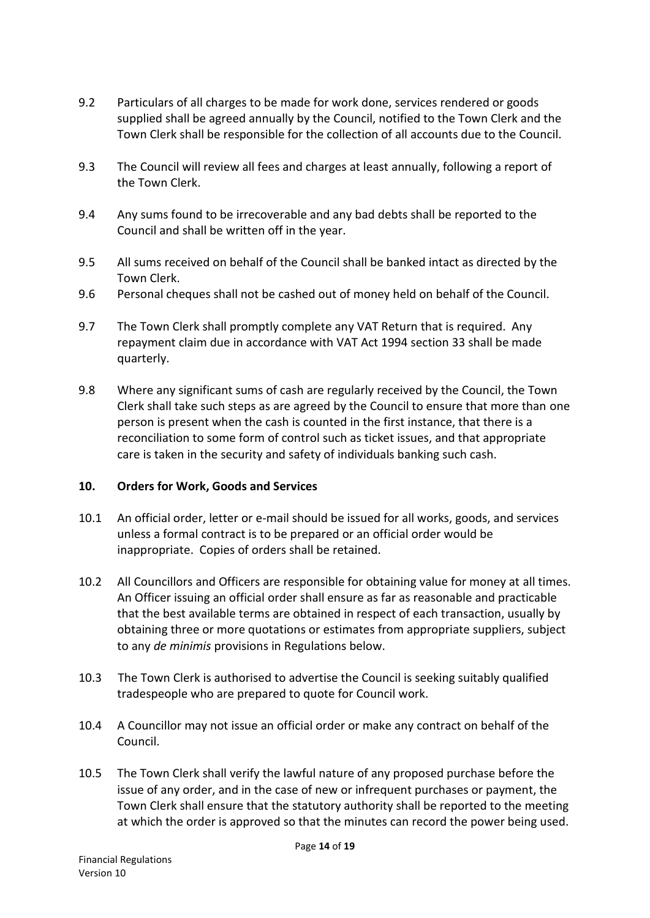- 9.2 Particulars of all charges to be made for work done, services rendered or goods supplied shall be agreed annually by the Council, notified to the Town Clerk and the Town Clerk shall be responsible for the collection of all accounts due to the Council.
- 9.3 The Council will review all fees and charges at least annually, following a report of the Town Clerk.
- 9.4 Any sums found to be irrecoverable and any bad debts shall be reported to the Council and shall be written off in the year.
- 9.5 All sums received on behalf of the Council shall be banked intact as directed by the Town Clerk.
- 9.6 Personal cheques shall not be cashed out of money held on behalf of the Council.
- 9.7 The Town Clerk shall promptly complete any VAT Return that is required. Any repayment claim due in accordance with VAT Act 1994 section 33 shall be made quarterly.
- 9.8 Where any significant sums of cash are regularly received by the Council, the Town Clerk shall take such steps as are agreed by the Council to ensure that more than one person is present when the cash is counted in the first instance, that there is a reconciliation to some form of control such as ticket issues, and that appropriate care is taken in the security and safety of individuals banking such cash.

#### **10. Orders for Work, Goods and Services**

- 10.1 An official order, letter or e-mail should be issued for all works, goods, and services unless a formal contract is to be prepared or an official order would be inappropriate. Copies of orders shall be retained.
- 10.2 All Councillors and Officers are responsible for obtaining value for money at all times. An Officer issuing an official order shall ensure as far as reasonable and practicable that the best available terms are obtained in respect of each transaction, usually by obtaining three or more quotations or estimates from appropriate suppliers, subject to any *de minimis* provisions in Regulations below.
- 10.3 The Town Clerk is authorised to advertise the Council is seeking suitably qualified tradespeople who are prepared to quote for Council work.
- 10.4 A Councillor may not issue an official order or make any contract on behalf of the Council.
- 10.5 The Town Clerk shall verify the lawful nature of any proposed purchase before the issue of any order, and in the case of new or infrequent purchases or payment, the Town Clerk shall ensure that the statutory authority shall be reported to the meeting at which the order is approved so that the minutes can record the power being used.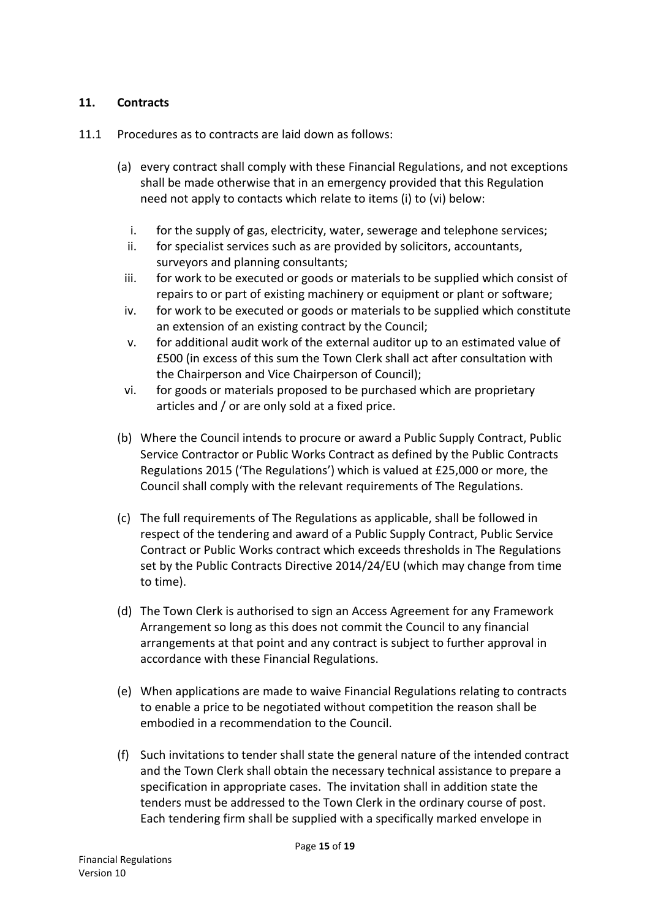#### **11. Contracts**

- 11.1 Procedures as to contracts are laid down as follows:
	- (a) every contract shall comply with these Financial Regulations, and not exceptions shall be made otherwise that in an emergency provided that this Regulation need not apply to contacts which relate to items (i) to (vi) below:
		- i. for the supply of gas, electricity, water, sewerage and telephone services;
		- ii. for specialist services such as are provided by solicitors, accountants, surveyors and planning consultants;
		- iii. for work to be executed or goods or materials to be supplied which consist of repairs to or part of existing machinery or equipment or plant or software;
		- iv. for work to be executed or goods or materials to be supplied which constitute an extension of an existing contract by the Council;
		- v. for additional audit work of the external auditor up to an estimated value of £500 (in excess of this sum the Town Clerk shall act after consultation with the Chairperson and Vice Chairperson of Council);
		- vi. for goods or materials proposed to be purchased which are proprietary articles and / or are only sold at a fixed price.
	- (b) Where the Council intends to procure or award a Public Supply Contract, Public Service Contractor or Public Works Contract as defined by the Public Contracts Regulations 2015 ('The Regulations') which is valued at £25,000 or more, the Council shall comply with the relevant requirements of The Regulations.
	- (c) The full requirements of The Regulations as applicable, shall be followed in respect of the tendering and award of a Public Supply Contract, Public Service Contract or Public Works contract which exceeds thresholds in The Regulations set by the Public Contracts Directive 2014/24/EU (which may change from time to time).
	- (d) The Town Clerk is authorised to sign an Access Agreement for any Framework Arrangement so long as this does not commit the Council to any financial arrangements at that point and any contract is subject to further approval in accordance with these Financial Regulations.
	- (e) When applications are made to waive Financial Regulations relating to contracts to enable a price to be negotiated without competition the reason shall be embodied in a recommendation to the Council.
	- (f) Such invitations to tender shall state the general nature of the intended contract and the Town Clerk shall obtain the necessary technical assistance to prepare a specification in appropriate cases. The invitation shall in addition state the tenders must be addressed to the Town Clerk in the ordinary course of post. Each tendering firm shall be supplied with a specifically marked envelope in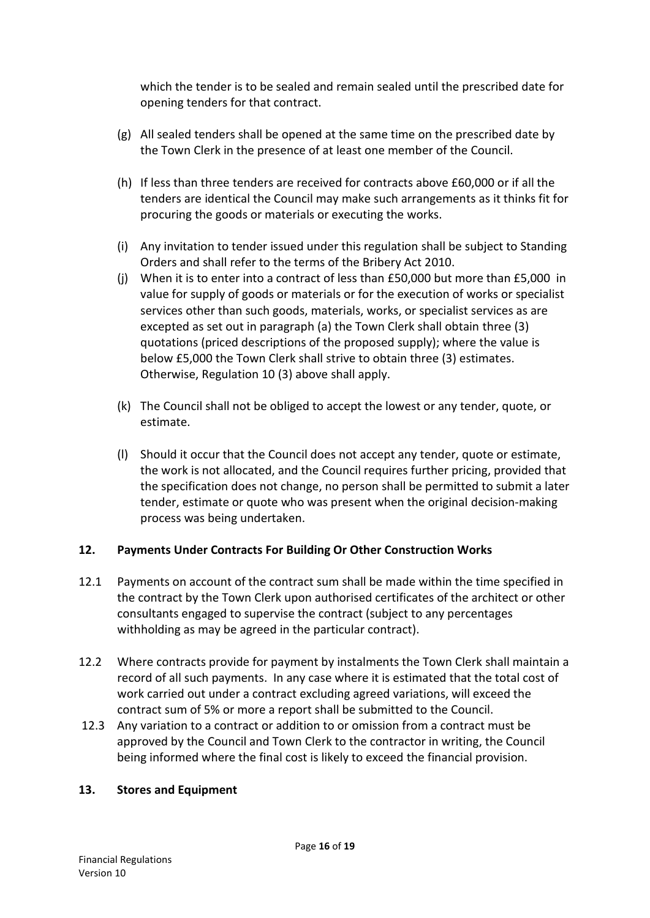which the tender is to be sealed and remain sealed until the prescribed date for opening tenders for that contract.

- (g) All sealed tenders shall be opened at the same time on the prescribed date by the Town Clerk in the presence of at least one member of the Council.
- (h) If less than three tenders are received for contracts above £60,000 or if all the tenders are identical the Council may make such arrangements as it thinks fit for procuring the goods or materials or executing the works.
- (i) Any invitation to tender issued under this regulation shall be subject to Standing Orders and shall refer to the terms of the Bribery Act 2010.
- (j) When it is to enter into a contract of less than £50,000 but more than £5,000 in value for supply of goods or materials or for the execution of works or specialist services other than such goods, materials, works, or specialist services as are excepted as set out in paragraph (a) the Town Clerk shall obtain three (3) quotations (priced descriptions of the proposed supply); where the value is below £5,000 the Town Clerk shall strive to obtain three (3) estimates. Otherwise, Regulation 10 (3) above shall apply.
- (k) The Council shall not be obliged to accept the lowest or any tender, quote, or estimate.
- (l) Should it occur that the Council does not accept any tender, quote or estimate, the work is not allocated, and the Council requires further pricing, provided that the specification does not change, no person shall be permitted to submit a later tender, estimate or quote who was present when the original decision-making process was being undertaken.

## **12. Payments Under Contracts For Building Or Other Construction Works**

- 12.1 Payments on account of the contract sum shall be made within the time specified in the contract by the Town Clerk upon authorised certificates of the architect or other consultants engaged to supervise the contract (subject to any percentages withholding as may be agreed in the particular contract).
- 12.2 Where contracts provide for payment by instalments the Town Clerk shall maintain a record of all such payments. In any case where it is estimated that the total cost of work carried out under a contract excluding agreed variations, will exceed the contract sum of 5% or more a report shall be submitted to the Council.
- 12.3 Any variation to a contract or addition to or omission from a contract must be approved by the Council and Town Clerk to the contractor in writing, the Council being informed where the final cost is likely to exceed the financial provision.

#### **13. Stores and Equipment**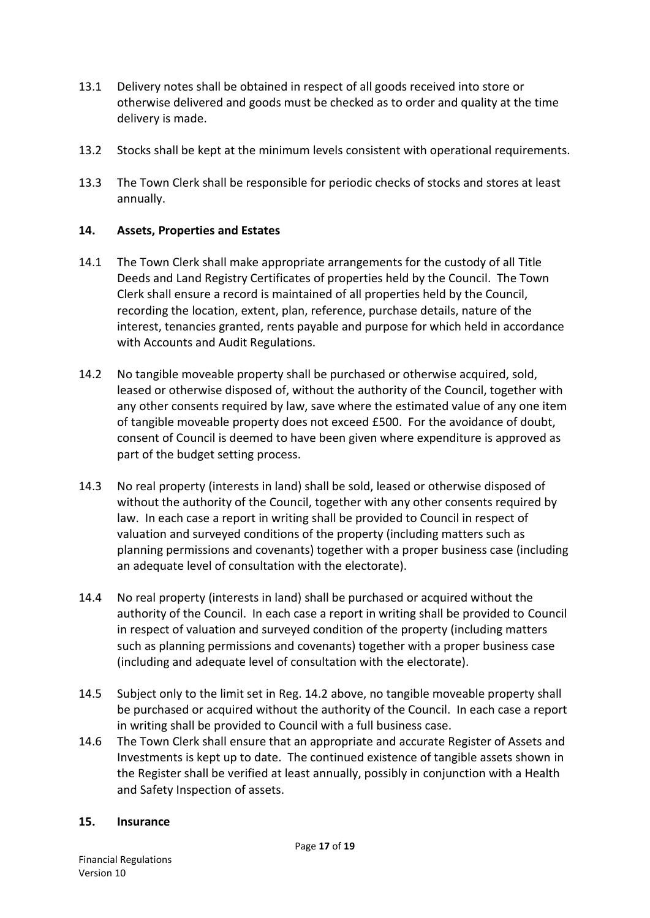- 13.1 Delivery notes shall be obtained in respect of all goods received into store or otherwise delivered and goods must be checked as to order and quality at the time delivery is made.
- 13.2 Stocks shall be kept at the minimum levels consistent with operational requirements.
- 13.3 The Town Clerk shall be responsible for periodic checks of stocks and stores at least annually.

#### **14. Assets, Properties and Estates**

- 14.1 The Town Clerk shall make appropriate arrangements for the custody of all Title Deeds and Land Registry Certificates of properties held by the Council. The Town Clerk shall ensure a record is maintained of all properties held by the Council, recording the location, extent, plan, reference, purchase details, nature of the interest, tenancies granted, rents payable and purpose for which held in accordance with Accounts and Audit Regulations.
- 14.2 No tangible moveable property shall be purchased or otherwise acquired, sold, leased or otherwise disposed of, without the authority of the Council, together with any other consents required by law, save where the estimated value of any one item of tangible moveable property does not exceed £500. For the avoidance of doubt, consent of Council is deemed to have been given where expenditure is approved as part of the budget setting process.
- 14.3 No real property (interests in land) shall be sold, leased or otherwise disposed of without the authority of the Council, together with any other consents required by law. In each case a report in writing shall be provided to Council in respect of valuation and surveyed conditions of the property (including matters such as planning permissions and covenants) together with a proper business case (including an adequate level of consultation with the electorate).
- 14.4 No real property (interests in land) shall be purchased or acquired without the authority of the Council. In each case a report in writing shall be provided to Council in respect of valuation and surveyed condition of the property (including matters such as planning permissions and covenants) together with a proper business case (including and adequate level of consultation with the electorate).
- 14.5 Subject only to the limit set in Reg. 14.2 above, no tangible moveable property shall be purchased or acquired without the authority of the Council. In each case a report in writing shall be provided to Council with a full business case.
- 14.6 The Town Clerk shall ensure that an appropriate and accurate Register of Assets and Investments is kept up to date. The continued existence of tangible assets shown in the Register shall be verified at least annually, possibly in conjunction with a Health and Safety Inspection of assets.

#### **15. Insurance**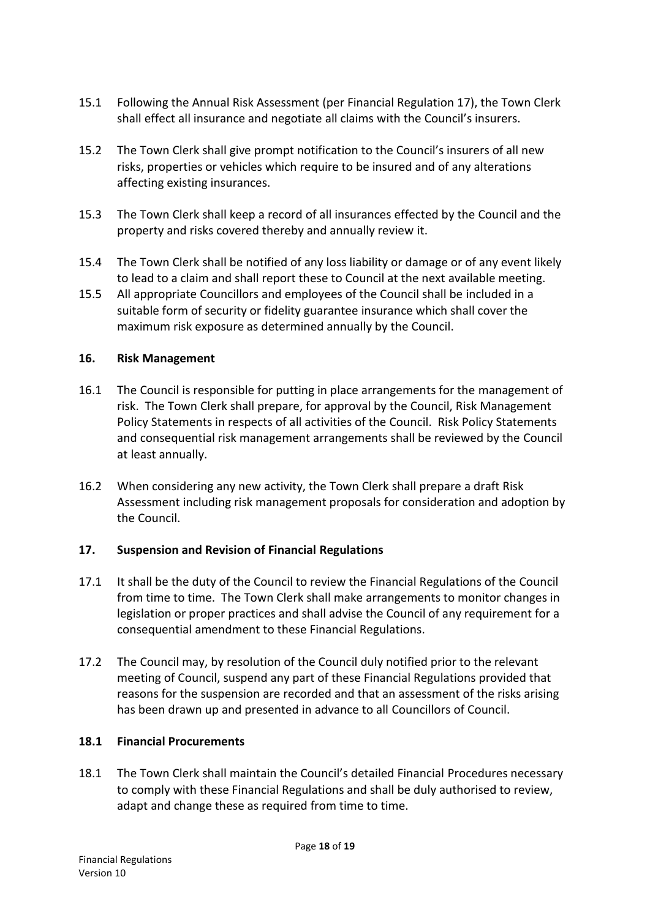- 15.1 Following the Annual Risk Assessment (per Financial Regulation 17), the Town Clerk shall effect all insurance and negotiate all claims with the Council's insurers.
- 15.2 The Town Clerk shall give prompt notification to the Council's insurers of all new risks, properties or vehicles which require to be insured and of any alterations affecting existing insurances.
- 15.3 The Town Clerk shall keep a record of all insurances effected by the Council and the property and risks covered thereby and annually review it.
- 15.4 The Town Clerk shall be notified of any loss liability or damage or of any event likely to lead to a claim and shall report these to Council at the next available meeting.
- 15.5 All appropriate Councillors and employees of the Council shall be included in a suitable form of security or fidelity guarantee insurance which shall cover the maximum risk exposure as determined annually by the Council.

#### **16. Risk Management**

- 16.1 The Council is responsible for putting in place arrangements for the management of risk. The Town Clerk shall prepare, for approval by the Council, Risk Management Policy Statements in respects of all activities of the Council. Risk Policy Statements and consequential risk management arrangements shall be reviewed by the Council at least annually.
- 16.2 When considering any new activity, the Town Clerk shall prepare a draft Risk Assessment including risk management proposals for consideration and adoption by the Council.

#### **17. Suspension and Revision of Financial Regulations**

- 17.1 It shall be the duty of the Council to review the Financial Regulations of the Council from time to time. The Town Clerk shall make arrangements to monitor changes in legislation or proper practices and shall advise the Council of any requirement for a consequential amendment to these Financial Regulations.
- 17.2 The Council may, by resolution of the Council duly notified prior to the relevant meeting of Council, suspend any part of these Financial Regulations provided that reasons for the suspension are recorded and that an assessment of the risks arising has been drawn up and presented in advance to all Councillors of Council.

#### **18.1 Financial Procurements**

18.1 The Town Clerk shall maintain the Council's detailed Financial Procedures necessary to comply with these Financial Regulations and shall be duly authorised to review, adapt and change these as required from time to time.